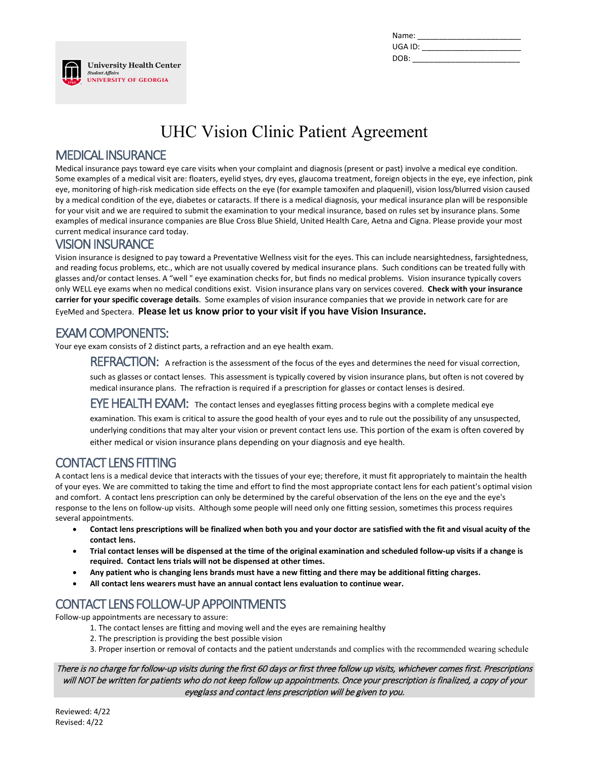| Name:   |  |
|---------|--|
| UGA ID: |  |
| DOB:    |  |

# UHC Vision Clinic Patient Agreement

#### MEDICAL INSURANCE

**Student Affairs** 

**University Health Center** 

**UNIVERSITY OF GEORGIA** 

Medical insurance pays toward eye care visits when your complaint and diagnosis (present or past) involve a medical eye condition. Some examples of a medical visit are: floaters, eyelid styes, dry eyes, glaucoma treatment, foreign objects in the eye, eye infection, pink eye, monitoring of high-risk medication side effects on the eye (for example tamoxifen and plaquenil), vision loss/blurred vision caused by a medical condition of the eye, diabetes or cataracts. If there is a medical diagnosis, your medical insurance plan will be responsible for your visit and we are required to submit the examination to your medical insurance, based on rules set by insurance plans. Some examples of medical insurance companies are Blue Cross Blue Shield, United Health Care, Aetna and Cigna. Please provide your most current medical insurance card today.

#### VISION INSURANCE

Vision insurance is designed to pay toward a Preventative Wellness visit for the eyes. This can include nearsightedness, farsightedness, and reading focus problems, etc., which are not usually covered by medical insurance plans. Such conditions can be treated fully with glasses and/or contact lenses. A "well " eye examination checks for, but finds no medical problems. Vision insurance typically covers only WELL eye exams when no medical conditions exist. Vision insurance plans vary on services covered. **Check with your insurance carrier for your specific coverage details**. Some examples of vision insurance companies that we provide in network care for are EyeMed and Spectera. **Please let us know prior to your visit if you have Vision Insurance.**

#### EXAM COMPONENTS:

Your eye exam consists of 2 distinct parts, a refraction and an eye health exam.

REFRACTION:A refraction is the assessment of the focus of the eyes and determines the need for visual correction,

such as glasses or contact lenses. This assessment is typically covered by vision insurance plans, but often is not covered by medical insurance plans. The refraction is required if a prescription for glasses or contact lenses is desired.

EYE HEALTH EXAM:The contact lenses and eyeglasses fitting process begins with a complete medical eye

examination. This exam is critical to assure the good health of your eyes and to rule out the possibility of any unsuspected, underlying conditions that may alter your vision or prevent contact lens use. This portion of the exam is often covered by either medical or vision insurance plans depending on your diagnosis and eye health.

### CONTACT LENS FITTING

A contact lens is a medical device that interacts with the tissues of your eye; therefore, it must fit appropriately to maintain the health of your eyes. We are committed to taking the time and effort to find the most appropriate contact lens for each patient's optimal vision and comfort. A contact lens prescription can only be determined by the careful observation of the lens on the eye and the eye's response to the lens on follow-up visits. Although some people will need only one fitting session, sometimes this process requires several appointments.

- **Contact lens prescriptions will be finalized when both you and your doctor are satisfied with the fit and visual acuity of the contact lens.**
- **Trial contact lenses will be dispensed at the time of the original examination and scheduled follow-up visits if a change is required. Contact lens trials will not be dispensed at other times.**
- **Any patient who is changing lens brands must have a new fitting and there may be additional fitting charges.**
- **All contact lens wearers must have an annual contact lens evaluation to continue wear.**

# CONTACT LENS FOLLOW-UP APPOINTMENTS

Follow-up appointments are necessary to assure:

- 1. The contact lenses are fitting and moving well and the eyes are remaining healthy
- 2. The prescription is providing the best possible vision
- 3. Proper insertion or removal of contacts and the patient understands and complies with the recommended wearing schedule

There is no charge for follow-up visits during the first 60 days or first three follow up visits, whichever comes first. Prescriptions will NOT be written for patients who do not keep follow up appointments. Once your prescription is finalized, a copy of your eyeglass and contact lens prescription will be given to you.